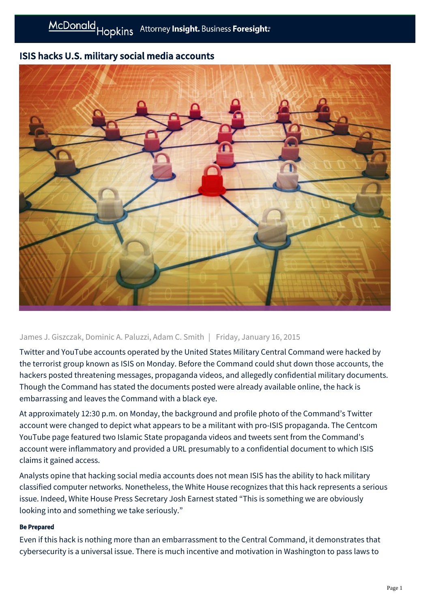## ISIS hacks U.S. military social media accounts



## James J. Giszczak, Dominic A. Paluzzi, Adam C. Smith | Friday, January 16, 2015

Twitter and YouTube accounts operated by the United States Military Central Command were hacked by the terrorist group known as ISIS on Monday. Before the Command could shut down those accounts, the hackers posted threatening messages, propaganda videos, and allegedly confidential military documents. Though the Command has stated the documents posted were already available online, the hack is embarrassing and leaves the Command with a black eye.

At approximately 12:30 p.m. on Monday, the background and profile photo of the Command's Twitter account were changed to depict what appears to be a militant with pro-ISIS propaganda. The Centcom YouTube page featured two Islamic State propaganda videos and tweets sent from the Command's account were inflammatory and provided a URL presumably to a confidential document to which ISIS claims it gained access.

Analysts opine that hacking social media accounts does not mean ISIS has the ability to hack military classified computer networks. Nonetheless, the White House recognizes that this hack represents a serious issue. Indeed, White House Press Secretary Josh Earnest stated "This is something we are obviously looking into and something we take seriously."

## Be Prepared

Even if this hack is nothing more than an embarrassment to the Central Command, it demonstrates that cybersecurity is a universal issue. There is much incentive and motivation in Washington to pass laws to